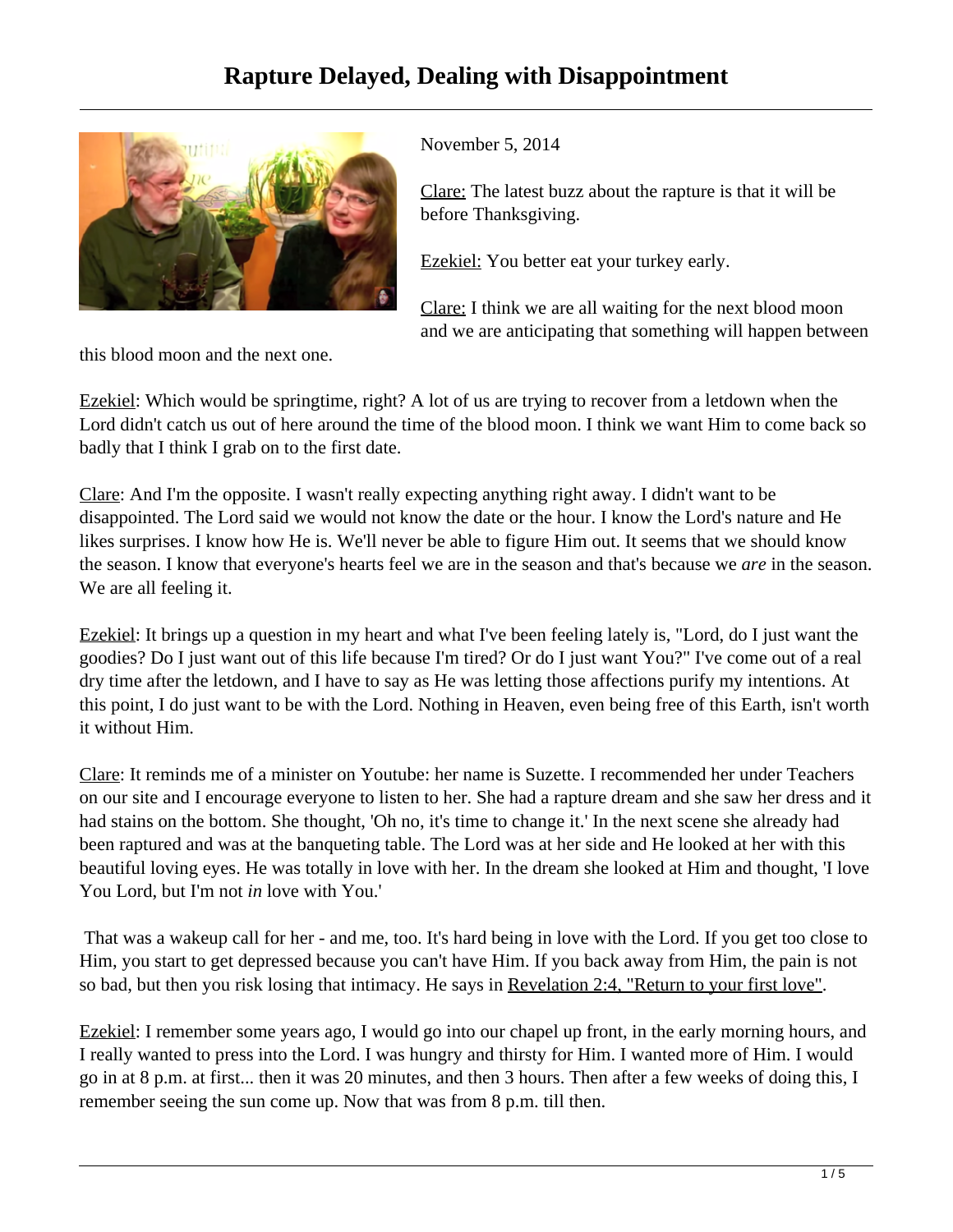## **Rapture Delayed, Dealing with Disappointment**



November 5, 2014

Clare: The latest buzz about the rapture is that it will be before Thanksgiving.

Ezekiel: You better eat your turkey early.

Clare: I think we are all waiting for the next blood moon and we are anticipating that something will happen between

this blood moon and the next one.

Ezekiel: Which would be springtime, right? A lot of us are trying to recover from a letdown when the Lord didn't catch us out of here around the time of the blood moon. I think we want Him to come back so badly that I think I grab on to the first date.

Clare: And I'm the opposite. I wasn't really expecting anything right away. I didn't want to be disappointed. The Lord said we would not know the date or the hour. I know the Lord's nature and He likes surprises. I know how He is. We'll never be able to figure Him out. It seems that we should know the season. I know that everyone's hearts feel we are in the season and that's because we *are* in the season. We are all feeling it.

Ezekiel: It brings up a question in my heart and what I've been feeling lately is, "Lord, do I just want the goodies? Do I just want out of this life because I'm tired? Or do I just want You?" I've come out of a real dry time after the letdown, and I have to say as He was letting those affections purify my intentions. At this point, I do just want to be with the Lord. Nothing in Heaven, even being free of this Earth, isn't worth it without Him.

Clare: It reminds me of a minister on Youtube: her name is Suzette. I recommended her under Teachers on our site and I encourage everyone to listen to her. She had a rapture dream and she saw her dress and it had stains on the bottom. She thought, 'Oh no, it's time to change it.' In the next scene she already had been raptured and was at the banqueting table. The Lord was at her side and He looked at her with this beautiful loving eyes. He was totally in love with her. In the dream she looked at Him and thought, 'I love You Lord, but I'm not *in* love with You.'

 That was a wakeup call for her - and me, too. It's hard being in love with the Lord. If you get too close to Him, you start to get depressed because you can't have Him. If you back away from Him, the pain is not so bad, but then you risk losing that intimacy. He says in Revelation 2:4, "Return to your first love".

Ezekiel: I remember some years ago, I would go into our chapel up front, in the early morning hours, and I really wanted to press into the Lord. I was hungry and thirsty for Him. I wanted more of Him. I would go in at 8 p.m. at first... then it was 20 minutes, and then 3 hours. Then after a few weeks of doing this, I remember seeing the sun come up. Now that was from 8 p.m. till then.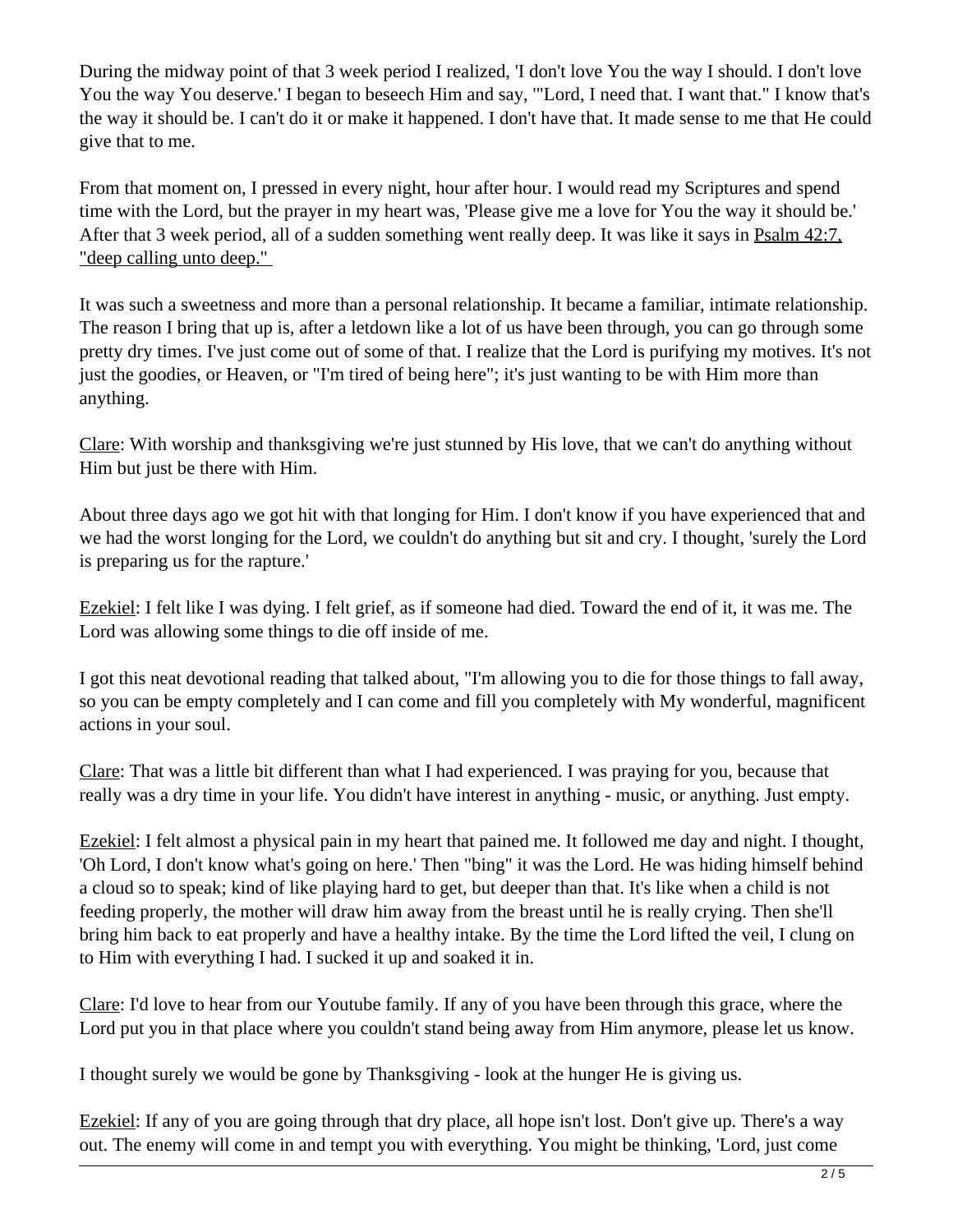During the midway point of that 3 week period I realized, 'I don't love You the way I should. I don't love You the way You deserve.' I began to beseech Him and say, '"Lord, I need that. I want that." I know that's the way it should be. I can't do it or make it happened. I don't have that. It made sense to me that He could give that to me.

From that moment on, I pressed in every night, hour after hour. I would read my Scriptures and spend time with the Lord, but the prayer in my heart was, 'Please give me a love for You the way it should be.' After that 3 week period, all of a sudden something went really deep. It was like it says in Psalm 42:7, "deep calling unto deep."

It was such a sweetness and more than a personal relationship. It became a familiar, intimate relationship. The reason I bring that up is, after a letdown like a lot of us have been through, you can go through some pretty dry times. I've just come out of some of that. I realize that the Lord is purifying my motives. It's not just the goodies, or Heaven, or "I'm tired of being here"; it's just wanting to be with Him more than anything.

Clare: With worship and thanksgiving we're just stunned by His love, that we can't do anything without Him but just be there with Him.

About three days ago we got hit with that longing for Him. I don't know if you have experienced that and we had the worst longing for the Lord, we couldn't do anything but sit and cry. I thought, 'surely the Lord is preparing us for the rapture.'

Ezekiel: I felt like I was dying. I felt grief, as if someone had died. Toward the end of it, it was me. The Lord was allowing some things to die off inside of me.

I got this neat devotional reading that talked about, "I'm allowing you to die for those things to fall away, so you can be empty completely and I can come and fill you completely with My wonderful, magnificent actions in your soul.

Clare: That was a little bit different than what I had experienced. I was praying for you, because that really was a dry time in your life. You didn't have interest in anything - music, or anything. Just empty.

Ezekiel: I felt almost a physical pain in my heart that pained me. It followed me day and night. I thought, 'Oh Lord, I don't know what's going on here.' Then "bing" it was the Lord. He was hiding himself behind a cloud so to speak; kind of like playing hard to get, but deeper than that. It's like when a child is not feeding properly, the mother will draw him away from the breast until he is really crying. Then she'll bring him back to eat properly and have a healthy intake. By the time the Lord lifted the veil, I clung on to Him with everything I had. I sucked it up and soaked it in.

Clare: I'd love to hear from our Youtube family. If any of you have been through this grace, where the Lord put you in that place where you couldn't stand being away from Him anymore, please let us know.

I thought surely we would be gone by Thanksgiving - look at the hunger He is giving us.

Ezekiel: If any of you are going through that dry place, all hope isn't lost. Don't give up. There's a way out. The enemy will come in and tempt you with everything. You might be thinking, 'Lord, just come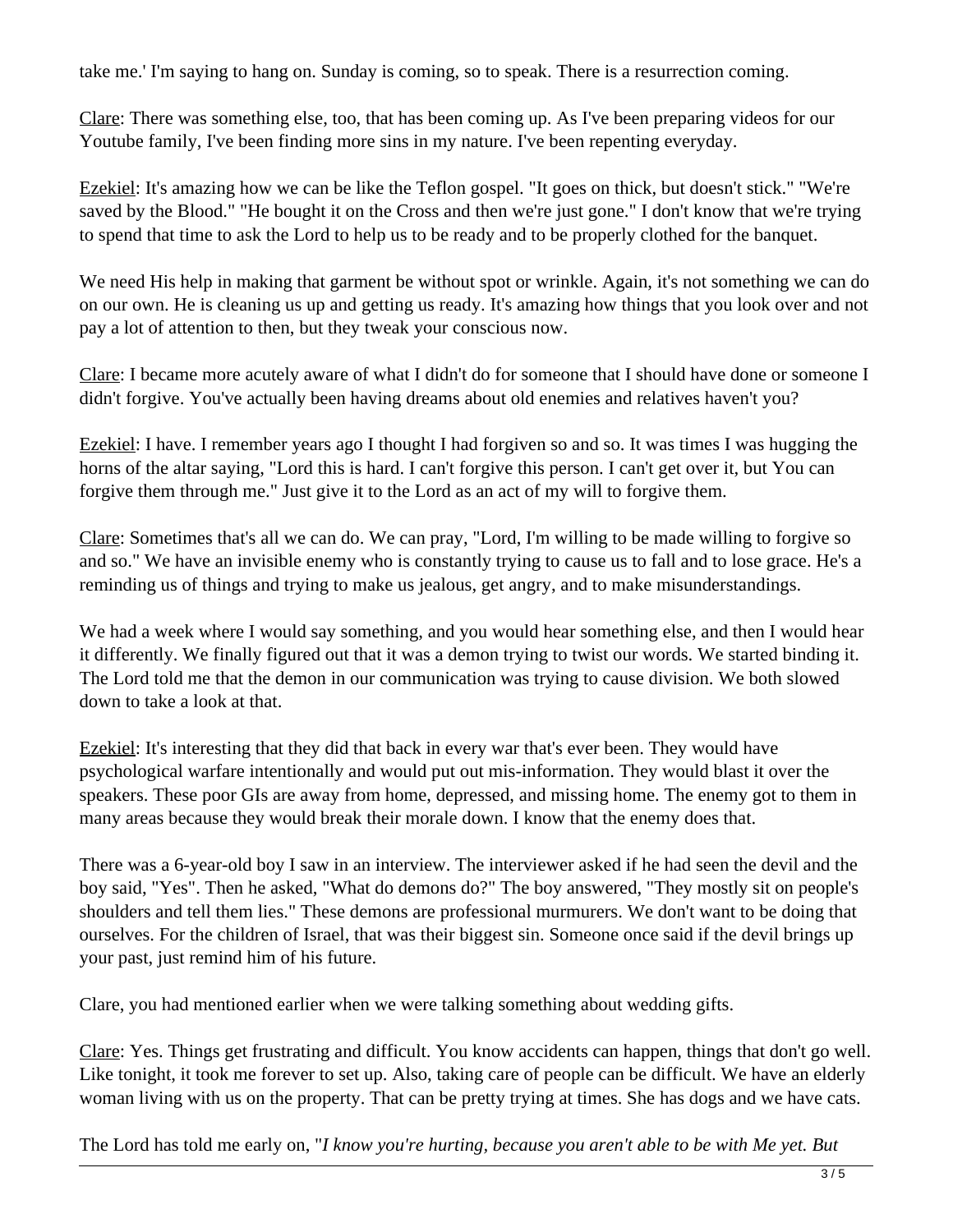take me.' I'm saying to hang on. Sunday is coming, so to speak. There is a resurrection coming.

Clare: There was something else, too, that has been coming up. As I've been preparing videos for our Youtube family, I've been finding more sins in my nature. I've been repenting everyday.

Ezekiel: It's amazing how we can be like the Teflon gospel. "It goes on thick, but doesn't stick." "We're saved by the Blood." "He bought it on the Cross and then we're just gone." I don't know that we're trying to spend that time to ask the Lord to help us to be ready and to be properly clothed for the banquet.

We need His help in making that garment be without spot or wrinkle. Again, it's not something we can do on our own. He is cleaning us up and getting us ready. It's amazing how things that you look over and not pay a lot of attention to then, but they tweak your conscious now.

Clare: I became more acutely aware of what I didn't do for someone that I should have done or someone I didn't forgive. You've actually been having dreams about old enemies and relatives haven't you?

Ezekiel: I have. I remember years ago I thought I had forgiven so and so. It was times I was hugging the horns of the altar saying, "Lord this is hard. I can't forgive this person. I can't get over it, but You can forgive them through me." Just give it to the Lord as an act of my will to forgive them.

Clare: Sometimes that's all we can do. We can pray, "Lord, I'm willing to be made willing to forgive so and so." We have an invisible enemy who is constantly trying to cause us to fall and to lose grace. He's a reminding us of things and trying to make us jealous, get angry, and to make misunderstandings.

We had a week where I would say something, and you would hear something else, and then I would hear it differently. We finally figured out that it was a demon trying to twist our words. We started binding it. The Lord told me that the demon in our communication was trying to cause division. We both slowed down to take a look at that.

Ezekiel: It's interesting that they did that back in every war that's ever been. They would have psychological warfare intentionally and would put out mis-information. They would blast it over the speakers. These poor GIs are away from home, depressed, and missing home. The enemy got to them in many areas because they would break their morale down. I know that the enemy does that.

There was a 6-year-old boy I saw in an interview. The interviewer asked if he had seen the devil and the boy said, "Yes". Then he asked, "What do demons do?" The boy answered, "They mostly sit on people's shoulders and tell them lies." These demons are professional murmurers. We don't want to be doing that ourselves. For the children of Israel, that was their biggest sin. Someone once said if the devil brings up your past, just remind him of his future.

Clare, you had mentioned earlier when we were talking something about wedding gifts.

Clare: Yes. Things get frustrating and difficult. You know accidents can happen, things that don't go well. Like tonight, it took me forever to set up. Also, taking care of people can be difficult. We have an elderly woman living with us on the property. That can be pretty trying at times. She has dogs and we have cats.

The Lord has told me early on, "*I know you're hurting, because you aren't able to be with Me yet. But*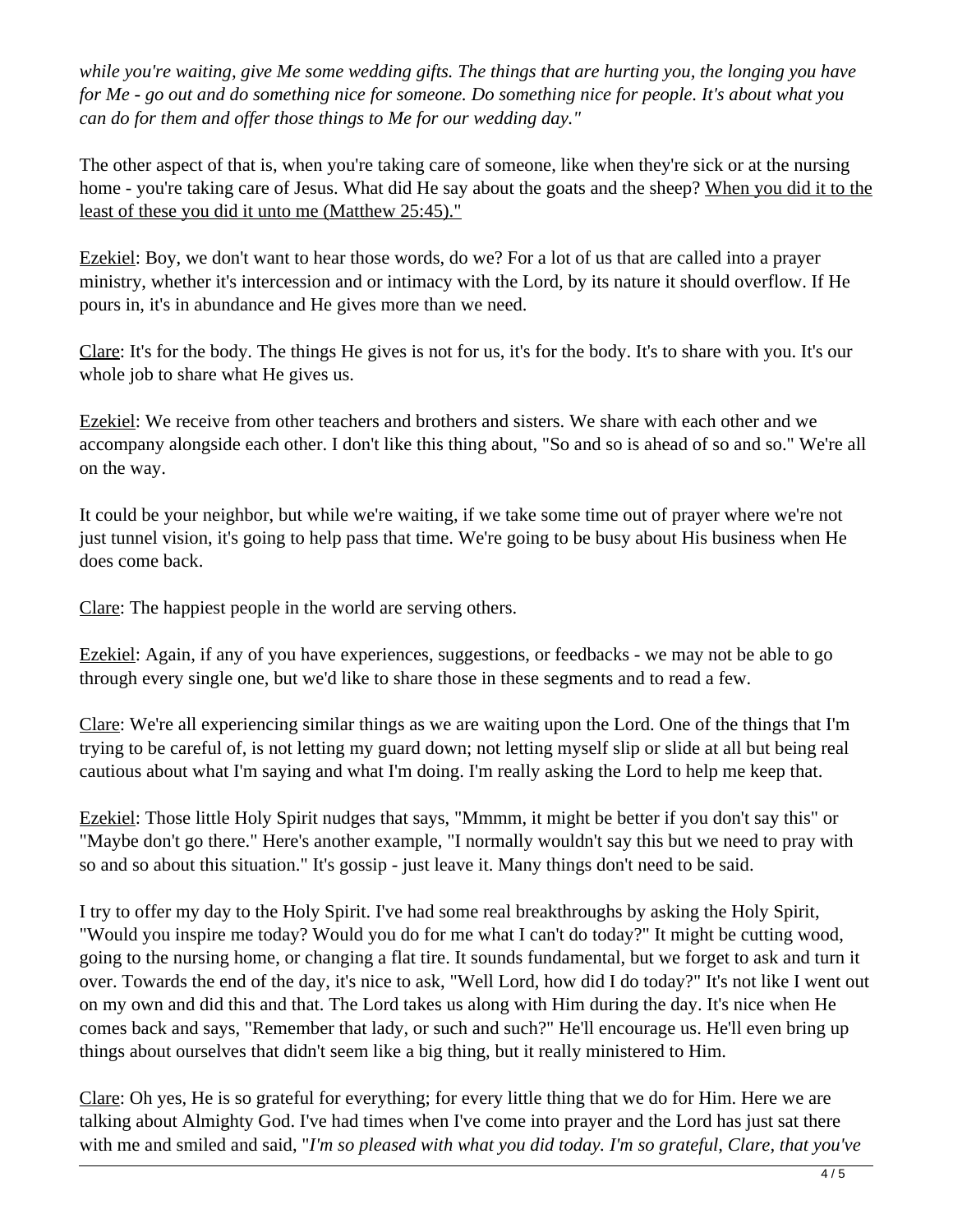*while you're waiting, give Me some wedding gifts. The things that are hurting you, the longing you have for Me - go out and do something nice for someone. Do something nice for people. It's about what you can do for them and offer those things to Me for our wedding day."*

The other aspect of that is, when you're taking care of someone, like when they're sick or at the nursing home - you're taking care of Jesus. What did He say about the goats and the sheep? When you did it to the least of these you did it unto me (Matthew 25:45)."

Ezekiel: Boy, we don't want to hear those words, do we? For a lot of us that are called into a prayer ministry, whether it's intercession and or intimacy with the Lord, by its nature it should overflow. If He pours in, it's in abundance and He gives more than we need.

Clare: It's for the body. The things He gives is not for us, it's for the body. It's to share with you. It's our whole job to share what He gives us.

Ezekiel: We receive from other teachers and brothers and sisters. We share with each other and we accompany alongside each other. I don't like this thing about, "So and so is ahead of so and so." We're all on the way.

It could be your neighbor, but while we're waiting, if we take some time out of prayer where we're not just tunnel vision, it's going to help pass that time. We're going to be busy about His business when He does come back.

Clare: The happiest people in the world are serving others.

Ezekiel: Again, if any of you have experiences, suggestions, or feedbacks - we may not be able to go through every single one, but we'd like to share those in these segments and to read a few.

Clare: We're all experiencing similar things as we are waiting upon the Lord. One of the things that I'm trying to be careful of, is not letting my guard down; not letting myself slip or slide at all but being real cautious about what I'm saying and what I'm doing. I'm really asking the Lord to help me keep that.

Ezekiel: Those little Holy Spirit nudges that says, "Mmmm, it might be better if you don't say this" or "Maybe don't go there." Here's another example, "I normally wouldn't say this but we need to pray with so and so about this situation." It's gossip - just leave it. Many things don't need to be said.

I try to offer my day to the Holy Spirit. I've had some real breakthroughs by asking the Holy Spirit, "Would you inspire me today? Would you do for me what I can't do today?" It might be cutting wood, going to the nursing home, or changing a flat tire. It sounds fundamental, but we forget to ask and turn it over. Towards the end of the day, it's nice to ask, "Well Lord, how did I do today?" It's not like I went out on my own and did this and that. The Lord takes us along with Him during the day. It's nice when He comes back and says, "Remember that lady, or such and such?" He'll encourage us. He'll even bring up things about ourselves that didn't seem like a big thing, but it really ministered to Him.

Clare: Oh yes, He is so grateful for everything; for every little thing that we do for Him. Here we are talking about Almighty God. I've had times when I've come into prayer and the Lord has just sat there with me and smiled and said, "*I'm so pleased with what you did today. I'm so grateful, Clare, that you've*